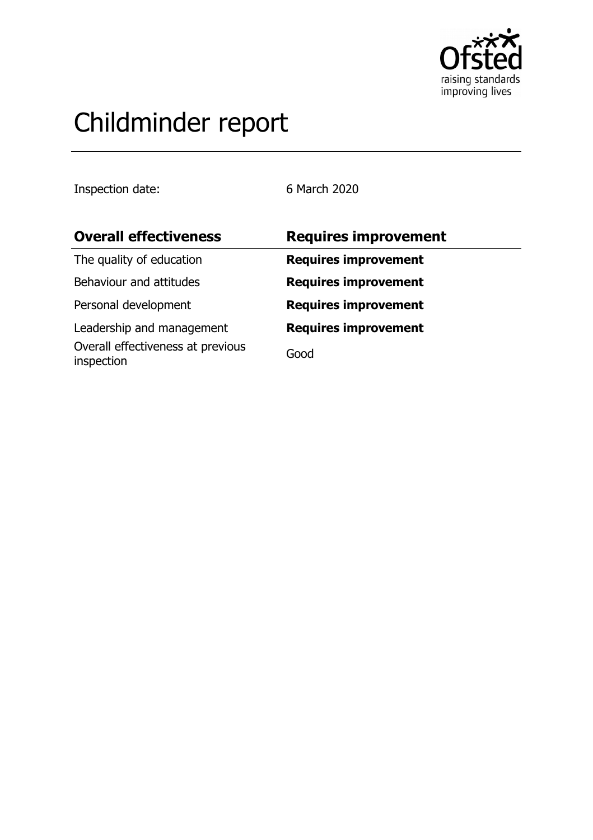

# Childminder report

Inspection date: 6 March 2020

| <b>Overall effectiveness</b>                    | <b>Requires improvement</b> |
|-------------------------------------------------|-----------------------------|
| The quality of education                        | <b>Requires improvement</b> |
| Behaviour and attitudes                         | <b>Requires improvement</b> |
| Personal development                            | <b>Requires improvement</b> |
| Leadership and management                       | <b>Requires improvement</b> |
| Overall effectiveness at previous<br>inspection | Good                        |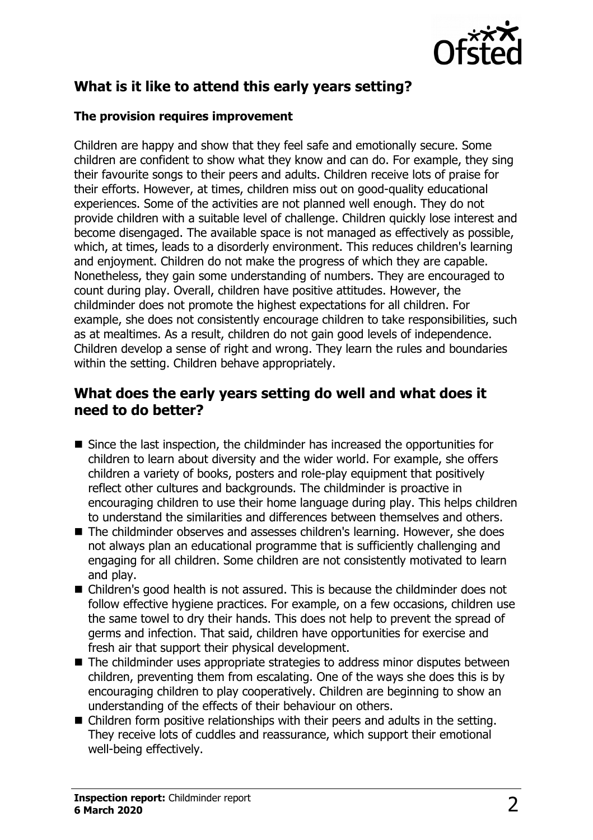

# **What is it like to attend this early years setting?**

#### **The provision requires improvement**

Children are happy and show that they feel safe and emotionally secure. Some children are confident to show what they know and can do. For example, they sing their favourite songs to their peers and adults. Children receive lots of praise for their efforts. However, at times, children miss out on good-quality educational experiences. Some of the activities are not planned well enough. They do not provide children with a suitable level of challenge. Children quickly lose interest and become disengaged. The available space is not managed as effectively as possible, which, at times, leads to a disorderly environment. This reduces children's learning and enjoyment. Children do not make the progress of which they are capable. Nonetheless, they gain some understanding of numbers. They are encouraged to count during play. Overall, children have positive attitudes. However, the childminder does not promote the highest expectations for all children. For example, she does not consistently encourage children to take responsibilities, such as at mealtimes. As a result, children do not gain good levels of independence. Children develop a sense of right and wrong. They learn the rules and boundaries within the setting. Children behave appropriately.

## **What does the early years setting do well and what does it need to do better?**

- $\blacksquare$  Since the last inspection, the childminder has increased the opportunities for children to learn about diversity and the wider world. For example, she offers children a variety of books, posters and role-play equipment that positively reflect other cultures and backgrounds. The childminder is proactive in encouraging children to use their home language during play. This helps children to understand the similarities and differences between themselves and others.
- The childminder observes and assesses children's learning. However, she does not always plan an educational programme that is sufficiently challenging and engaging for all children. Some children are not consistently motivated to learn and play.
- $\blacksquare$  Children's good health is not assured. This is because the childminder does not follow effective hygiene practices. For example, on a few occasions, children use the same towel to dry their hands. This does not help to prevent the spread of germs and infection. That said, children have opportunities for exercise and fresh air that support their physical development.
- $\blacksquare$  The childminder uses appropriate strategies to address minor disputes between children, preventing them from escalating. One of the ways she does this is by encouraging children to play cooperatively. Children are beginning to show an understanding of the effects of their behaviour on others.
- $\blacksquare$  Children form positive relationships with their peers and adults in the setting. They receive lots of cuddles and reassurance, which support their emotional well-being effectively.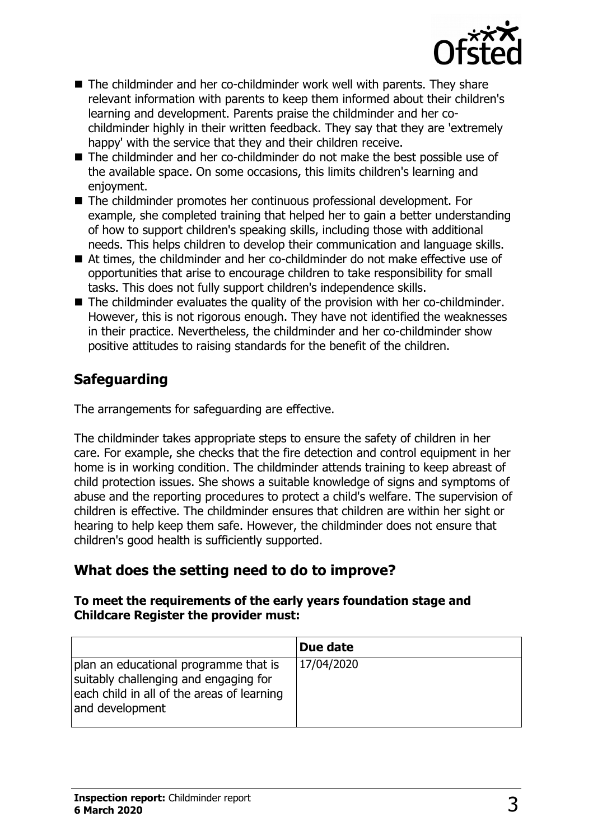

- $\blacksquare$  The childminder and her co-childminder work well with parents. They share relevant information with parents to keep them informed about their children's learning and development. Parents praise the childminder and her cochildminder highly in their written feedback. They say that they are 'extremely happy' with the service that they and their children receive.
- $\blacksquare$  The childminder and her co-childminder do not make the best possible use of the available space. On some occasions, this limits children's learning and enjoyment.
- The childminder promotes her continuous professional development. For example, she completed training that helped her to gain a better understanding of how to support children's speaking skills, including those with additional needs. This helps children to develop their communication and language skills.
- At times, the childminder and her co-childminder do not make effective use of opportunities that arise to encourage children to take responsibility for small tasks. This does not fully support children's independence skills.
- $\blacksquare$  The childminder evaluates the quality of the provision with her co-childminder. However, this is not rigorous enough. They have not identified the weaknesses in their practice. Nevertheless, the childminder and her co-childminder show positive attitudes to raising standards for the benefit of the children.

# **Safeguarding**

The arrangements for safeguarding are effective.

The childminder takes appropriate steps to ensure the safety of children in her care. For example, she checks that the fire detection and control equipment in her home is in working condition. The childminder attends training to keep abreast of child protection issues. She shows a suitable knowledge of signs and symptoms of abuse and the reporting procedures to protect a child's welfare. The supervision of children is effective. The childminder ensures that children are within her sight or hearing to help keep them safe. However, the childminder does not ensure that children's good health is sufficiently supported.

## **What does the setting need to do to improve?**

#### **To meet the requirements of the early years foundation stage and Childcare Register the provider must:**

|                                                                                                                                                 | Due date   |
|-------------------------------------------------------------------------------------------------------------------------------------------------|------------|
| plan an educational programme that is<br>suitably challenging and engaging for<br>each child in all of the areas of learning<br>and development | 17/04/2020 |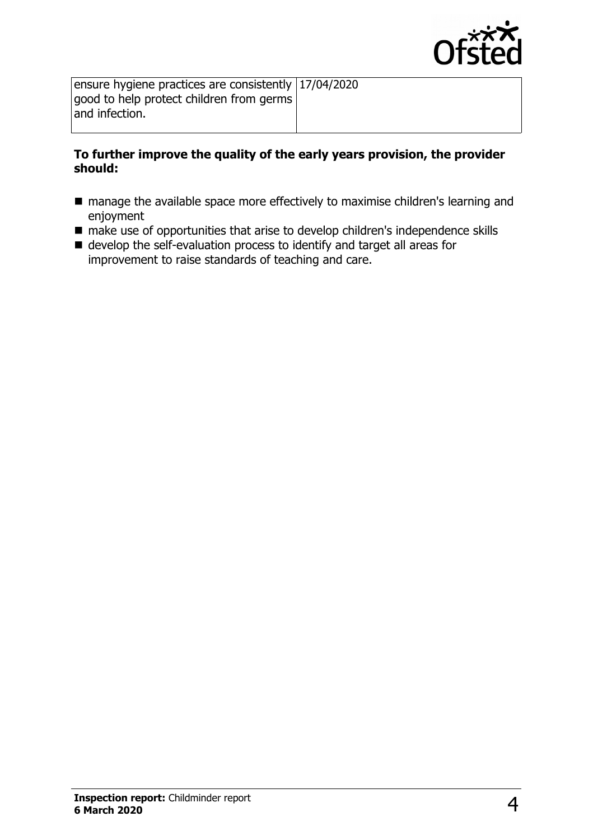

ensure hygiene practices are consistently 17/04/2020 good to help protect children from germs and infection.

#### **To further improve the quality of the early years provision, the provider should:**

- $\blacksquare$  manage the available space more effectively to maximise children's learning and enjoyment
- $\blacksquare$  make use of opportunities that arise to develop children's independence skills
- $\blacksquare$  develop the self-evaluation process to identify and target all areas for improvement to raise standards of teaching and care.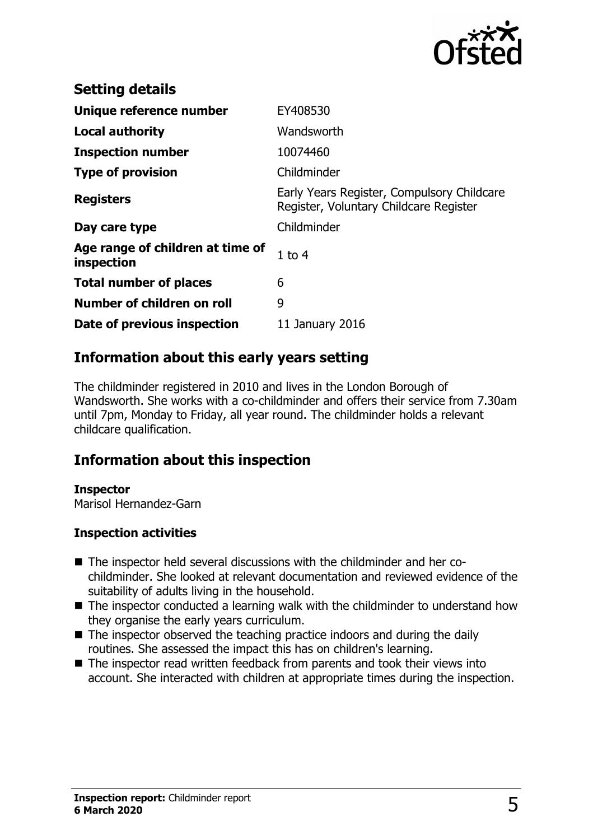

| <b>Setting details</b>                         |                                                                                      |
|------------------------------------------------|--------------------------------------------------------------------------------------|
| Unique reference number                        | EY408530                                                                             |
| <b>Local authority</b>                         | Wandsworth                                                                           |
| <b>Inspection number</b>                       | 10074460                                                                             |
| <b>Type of provision</b>                       | Childminder                                                                          |
| <b>Registers</b>                               | Early Years Register, Compulsory Childcare<br>Register, Voluntary Childcare Register |
| Day care type                                  | Childminder                                                                          |
| Age range of children at time of<br>inspection | $1$ to $4$                                                                           |
| <b>Total number of places</b>                  | 6                                                                                    |
| Number of children on roll                     | 9                                                                                    |
| Date of previous inspection                    | 11 January 2016                                                                      |

# **Information about this early years setting**

The childminder registered in 2010 and lives in the London Borough of Wandsworth. She works with a co-childminder and offers their service from 7.30am until 7pm, Monday to Friday, all year round. The childminder holds a relevant childcare qualification.

## **Information about this inspection**

#### **Inspector**

Marisol Hernandez-Garn

#### **Inspection activities**

- The inspector held several discussions with the childminder and her cochildminder. She looked at relevant documentation and reviewed evidence of the suitability of adults living in the household.
- $\blacksquare$  The inspector conducted a learning walk with the childminder to understand how they organise the early years curriculum.
- $\blacksquare$  The inspector observed the teaching practice indoors and during the daily routines. She assessed the impact this has on children's learning.
- $\blacksquare$  The inspector read written feedback from parents and took their views into account. She interacted with children at appropriate times during the inspection.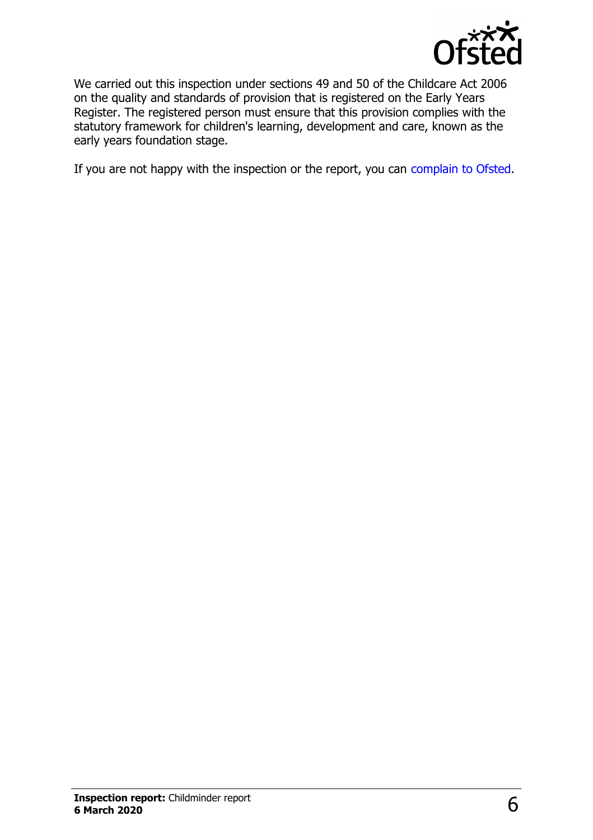

We carried out this inspection under sections 49 and 50 of the Childcare Act 2006 on the quality and standards of provision that is registered on the Early Years Register. The registered person must ensure that this provision complies with the statutory framework for children's learning, development and care, known as the early years foundation stage.

If you are not happy with the inspection or the report, you can [complain to Ofsted.](http://www.gov.uk/complain-ofsted-report)